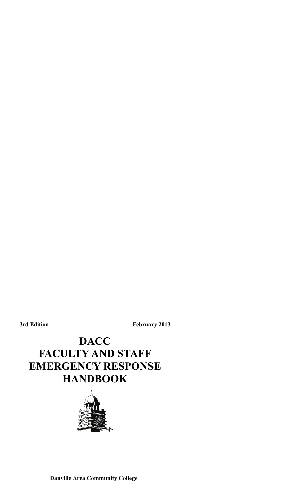**3rd Edition February 2013** 

# **DACC FACULTY AND STAFF EMERGENCY RESPONSE HANDBOOK**

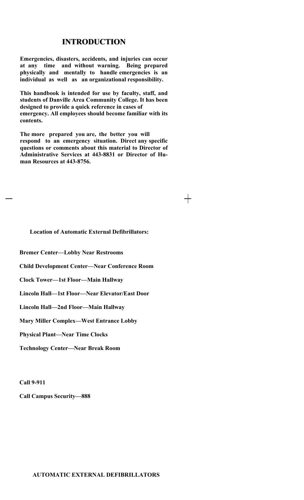# **INTRODUCTION INTRODUCTION**

**Emergencies, disasters, accidents, and injuries can occur at any time and without warning. Being prepared physically and mentally to handle emergencies is an individual as well as an organizational responsibility.** 

**This handbook is intended for use by faculty, staff, and students of Danville Area Community College. It has been designed to provide a quick reference in cases of emergency. All employees should become familiar with its contents.** 

**The more prepared you are, the better you will respond to an emergency situation. Direct any specific questions or comments about this material to Director of Administrative Services at 443-8831 or Director of Human Resources at 443-8756.** 

 $+$ 

# **Location of Automatic External Defibrillators:**

**Bremer Center—Lobby Near Restrooms** 

**Child Development Center—Near Conference Room** 

**Clock Tower—1st Floor—Main Hallway** 

**Lincoln Hall—1st Floor—Near Elevator/East Door** 

**Lincoln Hall—2nd Floor—Main Hallway** 

**Mary Miller Complex—West Entrance Lobby** 

**Physical Plant—Near Time Clocks** 

**Technology Center—Near Break Room** 

**Call 9-911** 

**Call Campus Security—888**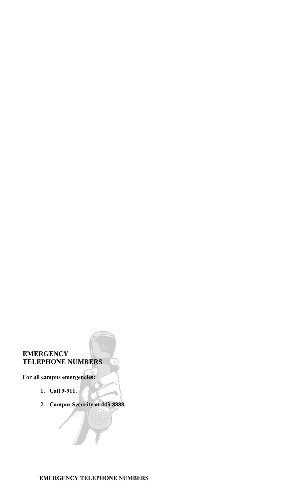# **EMERGENCY TELEPHONE NUMBERS**

**For all campus emergencies:** 

- **1. Call 9-911.**
- **2. Campus Security at 443-8888.**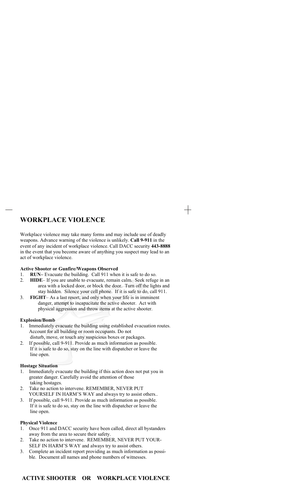# **WORKPLACE VIOLENCE**

Workplace violence may take many forms and may include use of deadly weapons. Advance warning of the violence is unlikely. **Call 9-911** in the event of any incident of workplace violence. Call DACC security **443-8888** in the event that you become aware of anything you suspect may lead to an act of workplace violence.

┽

### **Active Shooter or Gunfire/Weapons Observed**

- 1. **RUN–** Evacuate the building. Call 911 when it is safe to do so.
- 2. **HIDE** If you are unable to evacuate, remain calm. Seek refuge in an area with a locked door, or block the door. Turn off the lights and stay hidden. Silence your cell phone. If it is safe to do, call 911.
- 3. **FIGHT** As a last resort, and only when your life is in imminent danger, attempt to incapacitate the active shooter. Act with physical aggression and throw items at the active shooter.

#### **Explosion/Bomb**

- 1. Immediately evacuate the building using established evacuation routes. Account for all building or room occupants. Do not disturb, move, or touch any suspicious boxes or packages.
- 2. If possible, call 9-911. Provide as much information as possible. If it is safe to do so, stay on the line with dispatcher or leave the line open.

### **Hostage Situation**

- 1. Immediately evacuate the building if this action does not put you in greater danger. Carefully avoid the attention of those taking hostages.
- 2. Take no action to intervene. REMEMBER, NEVER PUT YOURSELF IN HARM'S WAY and always try to assist others..
- 3. If possible, call 9-911. Provide as much information as possible. If it is safe to do so, stay on the line with dispatcher or leave the line open.

#### **Physical Violence**

- 1. Once 911 and DACC security have been called, direct all bystanders away from the area to secure their safety.
- 2. Take no action to intervene. REMEMBER, NEVER PUT YOUR-SELF IN HARM'S WAY and always try to assist others.
- 3. Complete an incident report providing as much information as possible. Document all names and phone numbers of witnesses.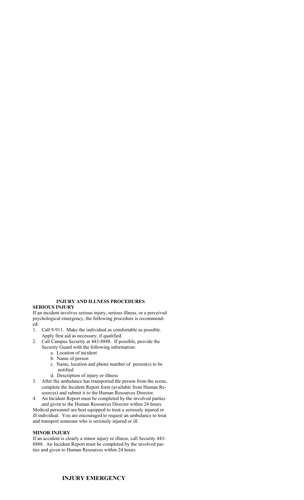### **INJURY AND ILLNESS PROCEDURES**

#### **SERIOUS INJURY**

If an incident involves serious injury, serious illness, or a perceived psychological emergency, the following procedure is recommended:

- 1. Call 9-911. Make the individual as comfortable as possible. Apply first aid as necessary, if qualified.
- 2. Call Campus Security at 443-8888. If possible, provide the Security Guard with the following information:
	- a. Location of incident
	- b. Name of person
	- c. Name, location and phone number of person(s) to be notified
	- d. Description of injury or illness
- 3. After the ambulance has transported the person from the scene, complete the Incident Report form (available from Human Resources) and submit it to the Human Resources Director.
- 4. An Incident Report must be completed by the involved parties and given to the Human Resources Director within 24 hours.

Medical personnel are best equipped to treat a seriously injured or ill individual. You are encouraged to request an ambulance to treat and transport someone who is seriously injured or ill.

### **MINOR INJURY**

If an accident is clearly a minor injury or illness, call Security 443- 8888. An Incident Report must be completed by the involved parties and given to Human Resources within 24 hours.

### **INJURY EMERGENCY**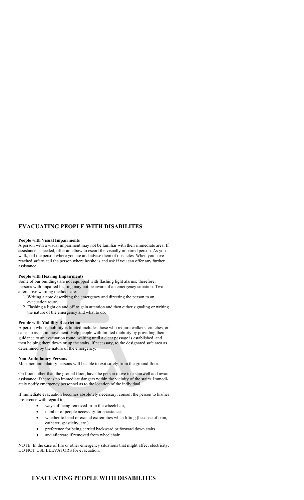# **EVACUATING PEOPLE WITH DISABILITES**

#### **People with Visual Impairments**

A person with a visual impairment may not be familiar with their immediate area. If assistance is needed, offer an elbow to escort the visually impaired person. As you walk, tell the person where you are and advise them of obstacles. When you have reached safety, tell the person where he/she is and ask if you can offer any further assistance.

#### **People with Hearing Impairments**

Some of our buildings are not equipped with flashing light alarms; therefore, persons with impaired hearing may not be aware of an emergency situation. Two alternative warning methods are:

- 1. Writing a note describing the emergency and directing the person to an evacuation route.
- 2. Flashing a light on and off to gain attention and then either signaling or writing the nature of the emergency and what to do.

#### **People with Mobility Restriction**

A person whose mobility is limited includes those who require walkers, crutches, or canes to assist in movement. Help people with limited mobility by providing them guidance to an evacuation route, waiting until a clear passage is established, and then helping them down or up the stairs, if necessary, to the designated safe area as determined by the nature of the emergency.

#### **Non-Ambulatory Persons**

Most non-ambulatory persons will be able to exit safely from the ground floor.

On floors other than the ground floor, have the person move to a stairwell and await assistance if there is no immediate dangers within the vicinity of the stairs. Immediately notify emergency personnel as to the location of the individual.

If immediate evacuation becomes absolutely necessary, consult the person to his/her preference with regard to;

- ways of being removed from the wheelchair,
- number of people necessary for assistance,
- whether to bend or extend extremities when lifting (because of pain, catheter, spasticity, etc.)
- preference for being carried backward or forward down stairs,
- and aftercare if removed from wheelchair.

NOTE: In the case of fire or other emergency situations that might affect electricity, DO NOT USE ELEVATORS for evacuation.

### **EVACUATING PEOPLE WITH DISABILITES**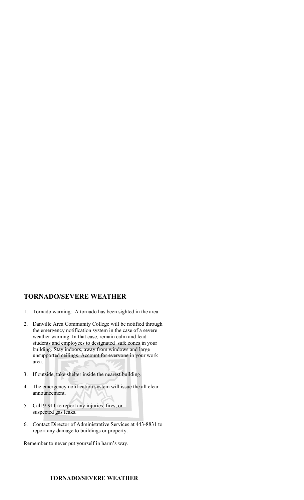# **TORNADO/SEVERE WEATHER**

- 1. Tornado warning: A tornado has been sighted in the area.
- 2. Danville Area Community College will be notified through the emergency notification system in the case of a severe weather warning. In that case, remain calm and lead students and employees to designated safe zones in your building. Stay indoors, away from windows and large unsupported ceilings. Account for everyone in your work area.
- 3. If outside, take shelter inside the nearest building.
- 4. The emergency notification system will issue the all clear announcement.
- 5. Call 9-911 to report any injuries, fires, or suspected gas leaks.
- 6. Contact Director of Administrative Services at 443-8831 to report any damage to buildings or property.

Remember to never put yourself in harm's way.

## **TORNADO/SEVERE WEATHER**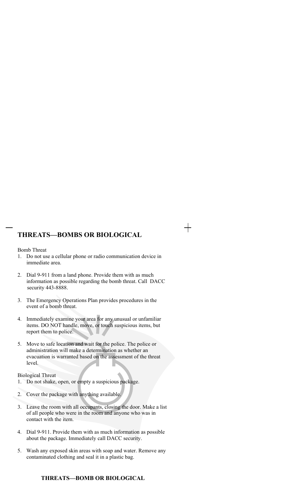# **THREATS—BOMBS OR BIOLOGICAL**

Bomb Threat

- 1. Do not use a cellular phone or radio communication device in immediate area.
- 2. Dial 9-911 from a land phone. Provide them with as much information as possible regarding the bomb threat. Call DACC security 443-8888.
- 3. The Emergency Operations Plan provides procedures in the event of a bomb threat.
- 4. Immediately examine your area for any unusual or unfamiliar items. DO NOT handle, move, or touch suspicious items, but report them to police.
- 5. Move to safe location and wait for the police. The police or administration will make a determination as whether an evacuation is warranted based on the assessment of the threat level.

Biological Threat

- 1. Do not shake, open, or empty a suspicious package.
- 2. Cover the package with anything available.
- 3. Leave the room with all occupants, closing the door. Make a list of all people who were in the room and anyone who was in contact with the item.
- 4. Dial 9-911. Provide them with as much information as possible about the package. Immediately call DACC security.
- 5. Wash any exposed skin areas with soap and water. Remove any contaminated clothing and seal it in a plastic bag.

### **THREATS—BOMB OR BIOLOGICAL**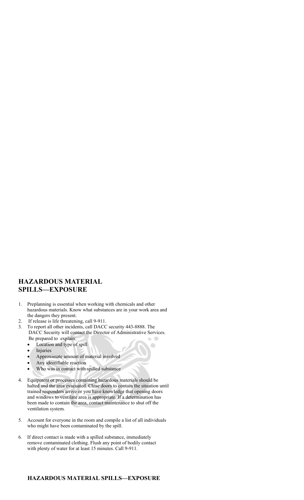# **HAZARDOUS MATERIAL SPILLS—EXPOSURE**

- 1. Preplanning is essential when working with chemicals and other hazardous materials. Know what substances are in your work area and the dangers they present.
- 2. If release is life threatening, call 9-911.
- 3. To report all other incidents, call DACC security 443-8888. The DACC Security will contact the Director of Administrative Services. Be prepared to explain:  $\sqrt{2}$ 
	- Location and type of spill
	- Injuries
	- Approximate amount of material involved
	- Any identifiable reaction
	- Who was in contact with spilled substance
- 4. Equipment or processes containing hazardous materials should be halted and the area evacuated. Close doors to contain the situation until trained responders arrive or you have knowledge that opening doors and windows to ventilate area is appropriate. If a determination has been made to contain the area, contact maintenance to shut off the ventilation system.
- 5. Account for everyone in the room and compile a list of all individuals who might have been contaminated by the spill.
- 6. If direct contact is made with a spilled substance, immediately remove contaminated clothing. Flush any point of bodily contact with plenty of water for at least 15 minutes. Call 9-911.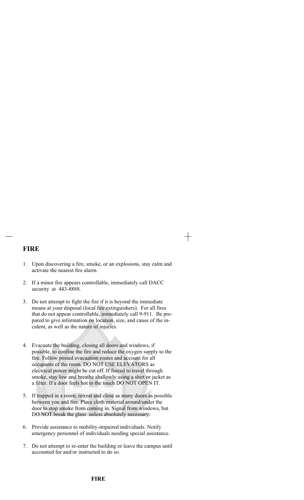# **FIRE**

1. Upon discovering a fire, smoke, or an explosions, stay calm and activate the nearest fire alarm.

┽

- 2. If a minor fire appears controllable, immediately call DACC security at 443-8888.
- 3. Do not attempt to fight the fire if it is beyond the immediate means at your disposal (local fire extinguishers). For all fires that do not appear controllable, immediately call 9-911. Be prepared to give information on location, size, and cause of the incident, as well as the nature of injuries.
- 4. Evacuate the building, closing all doors and windows, if possible, to confine the fire and reduce the oxygen supply to the fire. Follow posted evacuation routes and account for all occupants of the room. DO NOT USE ELEVATORS as electrical power might be cut off. If forced to travel through smoke, stay low and breathe shallowly using a shirt or jacket as a filter. If a door feels hot to the touch DO NOT OPEN IT.
- 5. If trapped in a room, retreat and close as many doors as possible between you and fire. Place cloth material around/under the door to stop smoke from coming in. Signal from windows, but DO NOT break the glass unless absolutely necessary.
- 6. Provide assistance to mobility-impaired individuals. Notify emergency personnel of individuals needing special assistance.
- 7. Do not attempt to re-enter the building or leave the campus until accounted for and/or instructed to do so.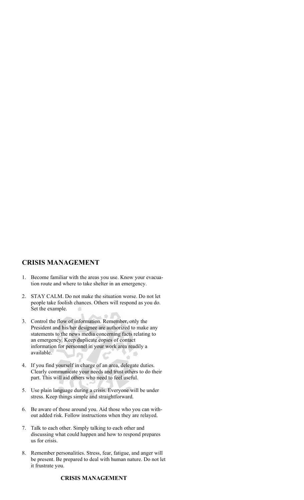# **CRISIS MANAGEMENT**

- 1. Become familiar with the areas you use. Know your evacuation route and where to take shelter in an emergency.
- 2. STAY CALM. Do not make the situation worse. Do not let people take foolish chances. Others will respond as you do. Set the example.  $\overline{\phantom{a}}$

 $\rightarrow$  1

- 3. Control the flow of information. Remember, only the President and his/her designee are authorized to make any statements to the news media concerning facts relating to an emergency. Keep duplicate copies of contact information for personnel in your work area readily a available.
- 4. If you find yourself in charge of an area, delegate duties. Clearly communicate your needs and trust others to do their part. This will aid others who need to feel useful.
- 5. Use plain language during a crisis. Everyone will be under stress. Keep things simple and straightforward.
- 6. Be aware of those around you. Aid those who you can without added risk. Follow instructions when they are relayed.
- 7. Talk to each other. Simply talking to each other and discussing what could happen and how to respond prepares us for crisis.
- 8. Remember personalities. Stress, fear, fatigue, and anger will be present. Be prepared to deal with human nature. Do not let it frustrate you.

# **CRISIS MANAGEMENT**